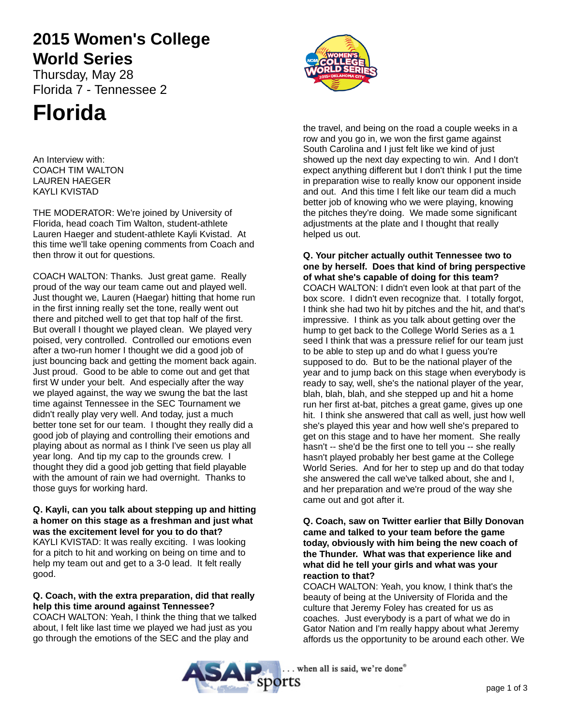# **2015 Women's College World Series**

Thursday, May 28 Florida 7 - Tennessee 2

# **Florida**

An Interview with: COACH TIM WALTON LAUREN HAEGER KAYLI KVISTAD

THE MODERATOR: We're joined by University of Florida, head coach Tim Walton, student-athlete Lauren Haeger and student-athlete Kayli Kvistad. At this time we'll take opening comments from Coach and then throw it out for questions.

COACH WALTON: Thanks. Just great game. Really proud of the way our team came out and played well. Just thought we, Lauren (Haegar) hitting that home run in the first inning really set the tone, really went out there and pitched well to get that top half of the first. But overall I thought we played clean. We played very poised, very controlled. Controlled our emotions even after a two-run homer I thought we did a good job of just bouncing back and getting the moment back again. Just proud. Good to be able to come out and get that first W under your belt. And especially after the way we played against, the way we swung the bat the last time against Tennessee in the SEC Tournament we didn't really play very well. And today, just a much better tone set for our team. I thought they really did a good job of playing and controlling their emotions and playing about as normal as I think I've seen us play all year long. And tip my cap to the grounds crew. I thought they did a good job getting that field playable with the amount of rain we had overnight. Thanks to those guys for working hard.

**Q. Kayli, can you talk about stepping up and hitting a homer on this stage as a freshman and just what was the excitement level for you to do that?** KAYLI KVISTAD: It was really exciting. I was looking for a pitch to hit and working on being on time and to help my team out and get to a 3-0 lead. It felt really good.

# **Q. Coach, with the extra preparation, did that really help this time around against Tennessee?**

COACH WALTON: Yeah, I think the thing that we talked about, I felt like last time we played we had just as you go through the emotions of the SEC and the play and



the travel, and being on the road a couple weeks in a row and you go in, we won the first game against South Carolina and I just felt like we kind of just showed up the next day expecting to win. And I don't expect anything different but I don't think I put the time in preparation wise to really know our opponent inside and out. And this time I felt like our team did a much better job of knowing who we were playing, knowing the pitches they're doing. We made some significant adjustments at the plate and I thought that really helped us out.

**Q. Your pitcher actually outhit Tennessee two to one by herself. Does that kind of bring perspective of what she's capable of doing for this team?** COACH WALTON: I didn't even look at that part of the box score. I didn't even recognize that. I totally forgot, I think she had two hit by pitches and the hit, and that's impressive. I think as you talk about getting over the hump to get back to the College World Series as a 1 seed I think that was a pressure relief for our team just to be able to step up and do what I guess you're supposed to do. But to be the national player of the year and to jump back on this stage when everybody is ready to say, well, she's the national player of the year, blah, blah, blah, and she stepped up and hit a home run her first at-bat, pitches a great game, gives up one hit. I think she answered that call as well, just how well she's played this year and how well she's prepared to get on this stage and to have her moment. She really hasn't -- she'd be the first one to tell you -- she really hasn't played probably her best game at the College World Series. And for her to step up and do that today she answered the call we've talked about, she and I, and her preparation and we're proud of the way she came out and got after it.

# **Q. Coach, saw on Twitter earlier that Billy Donovan came and talked to your team before the game today, obviously with him being the new coach of the Thunder. What was that experience like and what did he tell your girls and what was your reaction to that?**

COACH WALTON: Yeah, you know, I think that's the beauty of being at the University of Florida and the culture that Jeremy Foley has created for us as coaches. Just everybody is a part of what we do in Gator Nation and I'm really happy about what Jeremy affords us the opportunity to be around each other. We



. when all is said, we're done®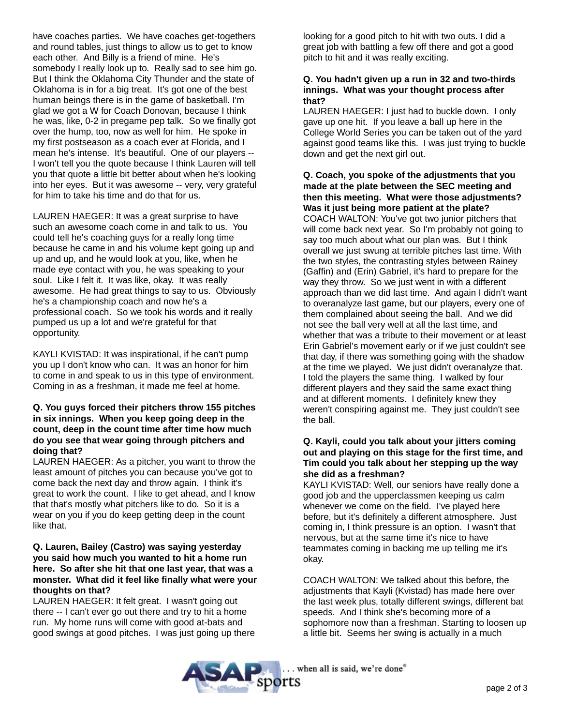have coaches parties. We have coaches get-togethers and round tables, just things to allow us to get to know each other. And Billy is a friend of mine. He's somebody I really look up to. Really sad to see him go. But I think the Oklahoma City Thunder and the state of Oklahoma is in for a big treat. It's got one of the best human beings there is in the game of basketball. I'm glad we got a W for Coach Donovan, because I think he was, like, 0-2 in pregame pep talk. So we finally got over the hump, too, now as well for him. He spoke in my first postseason as a coach ever at Florida, and I mean he's intense. It's beautiful. One of our players -- I won't tell you the quote because I think Lauren will tell you that quote a little bit better about when he's looking into her eyes. But it was awesome -- very, very grateful for him to take his time and do that for us.

LAUREN HAEGER: It was a great surprise to have such an awesome coach come in and talk to us. You could tell he's coaching guys for a really long time because he came in and his volume kept going up and up and up, and he would look at you, like, when he made eye contact with you, he was speaking to your soul. Like I felt it. It was like, okay. It was really awesome. He had great things to say to us. Obviously he's a championship coach and now he's a professional coach. So we took his words and it really pumped us up a lot and we're grateful for that opportunity.

KAYLI KVISTAD: It was inspirational, if he can't pump you up I don't know who can. It was an honor for him to come in and speak to us in this type of environment. Coming in as a freshman, it made me feel at home.

### **Q. You guys forced their pitchers throw 155 pitches in six innings. When you keep going deep in the count, deep in the count time after time how much do you see that wear going through pitchers and doing that?**

LAUREN HAEGER: As a pitcher, you want to throw the least amount of pitches you can because you've got to come back the next day and throw again. I think it's great to work the count. I like to get ahead, and I know that that's mostly what pitchers like to do. So it is a wear on you if you do keep getting deep in the count like that.

### **Q. Lauren, Bailey (Castro) was saying yesterday you said how much you wanted to hit a home run here. So after she hit that one last year, that was a monster. What did it feel like finally what were your thoughts on that?**

LAUREN HAEGER: It felt great. I wasn't going out there -- I can't ever go out there and try to hit a home run. My home runs will come with good at-bats and good swings at good pitches. I was just going up there looking for a good pitch to hit with two outs. I did a great job with battling a few off there and got a good pitch to hit and it was really exciting.

#### **Q. You hadn't given up a run in 32 and two-thirds innings. What was your thought process after that?**

LAUREN HAEGER: I just had to buckle down. I only gave up one hit. If you leave a ball up here in the College World Series you can be taken out of the yard against good teams like this. I was just trying to buckle down and get the next girl out.

# **Q. Coach, you spoke of the adjustments that you made at the plate between the SEC meeting and then this meeting. What were those adjustments? Was it just being more patient at the plate?**

COACH WALTON: You've got two junior pitchers that will come back next year. So I'm probably not going to say too much about what our plan was. But I think overall we just swung at terrible pitches last time. With the two styles, the contrasting styles between Rainey (Gaffin) and (Erin) Gabriel, it's hard to prepare for the way they throw. So we just went in with a different approach than we did last time. And again I didn't want to overanalyze last game, but our players, every one of them complained about seeing the ball. And we did not see the ball very well at all the last time, and whether that was a tribute to their movement or at least Erin Gabriel's movement early or if we just couldn't see that day, if there was something going with the shadow at the time we played. We just didn't overanalyze that. I told the players the same thing. I walked by four different players and they said the same exact thing and at different moments. I definitely knew they weren't conspiring against me. They just couldn't see the ball.

# **Q. Kayli, could you talk about your jitters coming out and playing on this stage for the first time, and Tim could you talk about her stepping up the way she did as a freshman?**

KAYLI KVISTAD: Well, our seniors have really done a good job and the upperclassmen keeping us calm whenever we come on the field. I've played here before, but it's definitely a different atmosphere. Just coming in, I think pressure is an option. I wasn't that nervous, but at the same time it's nice to have teammates coming in backing me up telling me it's okay.

COACH WALTON: We talked about this before, the adjustments that Kayli (Kvistad) has made here over the last week plus, totally different swings, different bat speeds. And I think she's becoming more of a sophomore now than a freshman. Starting to loosen up a little bit. Seems her swing is actually in a much